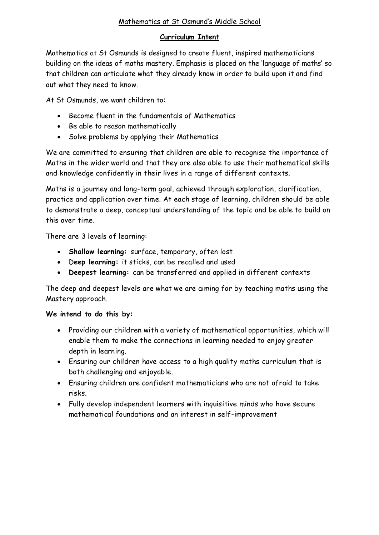# Mathematics at St Osmund's Middle School

# **Curriculum Intent**

Mathematics at St Osmunds is designed to create fluent, inspired mathematicians building on the ideas of maths mastery. Emphasis is placed on the 'language of maths' so that children can articulate what they already know in order to build upon it and find out what they need to know.

At St Osmunds, we want children to:

- Become fluent in the fundamentals of Mathematics
- Be able to reason mathematically
- Solve problems by applying their Mathematics

We are committed to ensuring that children are able to recognise the importance of Maths in the wider world and that they are also able to use their mathematical skills and knowledge confidently in their lives in a range of different contexts.

Maths is a journey and long-term goal, achieved through exploration, clarification, practice and application over time. At each stage of learning, children should be able to demonstrate a deep, conceptual understanding of the topic and be able to build on this over time.

There are 3 levels of learning:

- **Shallow learning:** surface, temporary, often lost
- D**eep learning:** it sticks, can be recalled and used
- **Deepest learning:** can be transferred and applied in different contexts

The deep and deepest levels are what we are aiming for by teaching maths using the Mastery approach.

# **We intend to do this by:**

- Providing our children with a variety of mathematical opportunities, which will enable them to make the connections in learning needed to enjoy greater depth in learning.
- Ensuring our children have access to a high quality maths curriculum that is both challenging and enjoyable.
- Ensuring children are confident mathematicians who are not afraid to take risks.
- Fully develop independent learners with inquisitive minds who have secure mathematical foundations and an interest in self-improvement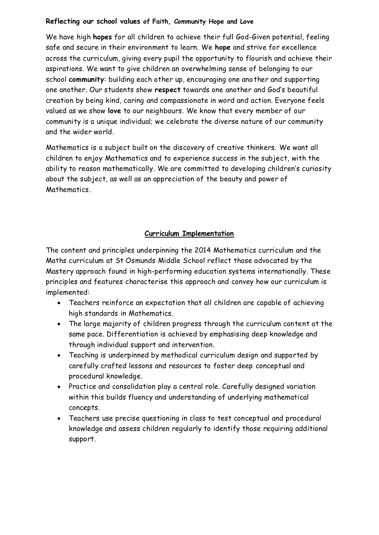### **Reflecting our school values of Faith, Community Hope and Love**

We have high **hopes** for all children to achieve their full God-Given potential, feeling safe and secure in their environment to learn. We **hope** and strive for excellence across the curriculum, giving every pupil the opportunity to flourish and achieve their aspirations. We want to give children an overwhelming sense of belonging to our school **community**: building each other up, encouraging one another and supporting one another. Our students show **respect** towards one another and God's beautiful creation by being kind, caring and compassionate in word and action. Everyone feels valued as we show **love** to our neighbours. We know that every member of our community is a unique individual; we celebrate the diverse nature of our community and the wider world.

Mathematics is a subject built on the discovery of creative thinkers. We want all children to enjoy Mathematics and to experience success in the subject, with the ability to reason mathematically. We are committed to developing children's curiosity about the subject, as well as an appreciation of the beauty and power of Mathematics.

# **Curriculum Implementation**

The content and principles underpinning the 2014 Mathematics curriculum and the Maths curriculum at St Osmunds Middle School reflect those advocated by the Mastery approach found in high-performing education systems internationally. These principles and features characterise this approach and convey how our curriculum is implemented:

- Teachers reinforce an expectation that all children are capable of achieving high standards in Mathematics.
- The large majority of children progress through the curriculum content at the same pace. Differentiation is achieved by emphasising deep knowledge and through individual support and intervention.
- Teaching is underpinned by methodical curriculum design and supported by carefully crafted lessons and resources to foster deep conceptual and procedural knowledge.
- Practice and consolidation play a central role. Carefully designed variation within this builds fluency and understanding of underlying mathematical concepts.
- Teachers use precise questioning in class to test conceptual and procedural knowledge and assess children regularly to identify those requiring additional support.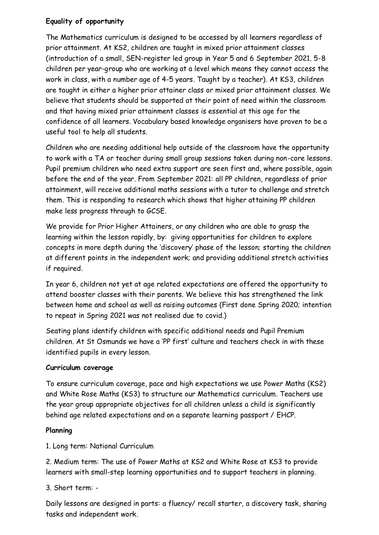# **Equality of opportunity**

The Mathematics curriculum is designed to be accessed by all learners regardless of prior attainment. At KS2, children are taught in mixed prior attainment classes (introduction of a small, SEN-register led group in Year 5 and 6 September 2021. 5-8 children per year-group who are working at a level which means they cannot access the work in class, with a number age of 4-5 years. Taught by a teacher). At KS3, children are taught in either a higher prior attainer class or mixed prior attainment classes. We believe that students should be supported at their point of need within the classroom and that having mixed prior attainment classes is essential at this age for the confidence of all learners. Vocabulary based knowledge organisers have proven to be a useful tool to help all students.

Children who are needing additional help outside of the classroom have the opportunity to work with a TA or teacher during small group sessions taken during non-core lessons. Pupil premium children who need extra support are seen first and, where possible, again before the end of the year. From September 2021: all PP children, regardless of prior attainment, will receive additional maths sessions with a tutor to challenge and stretch them. This is responding to research which shows that higher attaining PP children make less progress through to GCSE.

We provide for Prior Higher Attainers, or any children who are able to grasp the learning within the lesson rapidly, by: giving opportunities for children to explore concepts in more depth during the 'discovery' phase of the lesson; starting the children at different points in the independent work; and providing additional stretch activities if required.

In year 6, children not yet at age related expectations are offered the opportunity to attend booster classes with their parents. We believe this has strengthened the link between home and school as well as raising outcomes (First done Spring 2020; intention to repeat in Spring 2021 was not realised due to covid.)

Seating plans identify children with specific additional needs and Pupil Premium children. At St Osmunds we have a 'PP first' culture and teachers check in with these identified pupils in every lesson.

# **Curriculum coverage**

To ensure curriculum coverage, pace and high expectations we use Power Maths (KS2) and White Rose Maths (KS3) to structure our Mathematics curriculum. Teachers use the year group appropriate objectives for all children unless a child is significantly behind age related expectations and on a separate learning passport / EHCP.

# **Planning**

1. Long term: National Curriculum

2. Medium term: The use of Power Maths at KS2 and White Rose at KS3 to provide learners with small-step learning opportunities and to support teachers in planning.

3. Short term: -

Daily lessons are designed in parts: a fluency/ recall starter, a discovery task, sharing tasks and independent work.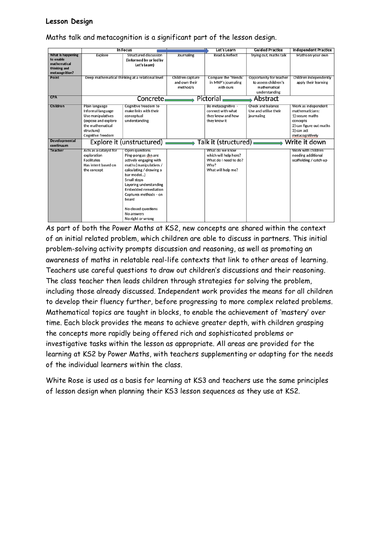#### **Lesson Design**

|                                                                                  |                                                                                                                                        | <b>In Focus</b>                                                                                                                                                                                                                                                                                         |                                               | Let's Learn                                                                                     | <b>Guided Practice</b>                                                           | <b>Independent Practice</b>                                                                                                       |
|----------------------------------------------------------------------------------|----------------------------------------------------------------------------------------------------------------------------------------|---------------------------------------------------------------------------------------------------------------------------------------------------------------------------------------------------------------------------------------------------------------------------------------------------------|-----------------------------------------------|-------------------------------------------------------------------------------------------------|----------------------------------------------------------------------------------|-----------------------------------------------------------------------------------------------------------------------------------|
| What is happening<br>to enable<br>mathematical<br>thinking and<br>metacognition? | Explore                                                                                                                                | <b>Structured discussion</b><br>(informed by or led by<br>Let's Learn)                                                                                                                                                                                                                                  | Journaling                                    | Read & Reflect                                                                                  | Trying out, maths talk                                                           | Maths on your own                                                                                                                 |
| Point                                                                            |                                                                                                                                        | Deep mathematical thinking at a relational level                                                                                                                                                                                                                                                        | Children capture<br>and own their<br>method/s | Compare the 'friends'<br>in MNP's journaling<br>with ours                                       | Opportunity for teacher<br>to assess children's<br>mathematical<br>understanding | Children independently<br>apply their learning                                                                                    |
| <b>CPA</b>                                                                       | Pictorial<br>Concrete.<br>Abstract                                                                                                     |                                                                                                                                                                                                                                                                                                         |                                               |                                                                                                 |                                                                                  |                                                                                                                                   |
| Children                                                                         | Plain language<br>Informal language<br>Use manipulatives<br>(expose and explore<br>the mathematical<br>structure)<br>Cognitive freedom | Cognitive freedom to<br>make links with their<br>conceptual<br>understanding                                                                                                                                                                                                                            |                                               | Be metacognitive -<br>connect with what<br>they know and how<br>they know it                    | Check and balance<br>Use and utilise their<br>journaling                         | Work as independent<br>mathematicians:<br>1) secure maths<br>concepts<br>2) can figure out maths<br>3) can act<br>metacognitively |
| <b>Developmental</b><br>continuum                                                |                                                                                                                                        | Explore it (unstructured)                                                                                                                                                                                                                                                                               |                                               | Talk it (structured).                                                                           |                                                                                  | Write it down                                                                                                                     |
| <b>Teacher</b>                                                                   | Acts as a catalyst for<br>exploration<br><b>Facilitates</b><br>Has intent based on<br>the concept                                      | Open questions<br>Ping-pong as chn are<br>actively engaging with<br>maths (manipulatives /<br>calculating / drawing a<br>bar model)<br>Small steps<br>Layering understanding<br><b>Embedded remediation</b><br>Captures methods - on<br>board<br>No closed questions<br>No answers<br>No right or wrong |                                               | What do we know<br>which will help here?<br>What do I need to do?<br>Why?<br>What will help me? |                                                                                  | Work with children<br>needing additional<br>scaffolding / catch up                                                                |

Maths talk and metacognition is a significant part of the lesson design.

As part of both the Power Maths at KS2, new concepts are shared within the context of an initial related problem, which children are able to discuss in partners. This initial problem-solving activity prompts discussion and reasoning, as well as promoting an awareness of maths in relatable real-life contexts that link to other areas of learning. Teachers use careful questions to draw out children's discussions and their reasoning. The class teacher then leads children through strategies for solving the problem, including those already discussed. Independent work provides the means for all children to develop their fluency further, before progressing to more complex related problems. Mathematical topics are taught in blocks, to enable the achievement of 'mastery' over time. Each block provides the means to achieve greater depth, with children grasping the concepts more rapidly being offered rich and sophisticated problems or investigative tasks within the lesson as appropriate. All areas are provided for the learning at KS2 by Power Maths, with teachers supplementing or adapting for the needs of the individual learners within the class.

White Rose is used as a basis for learning at KS3 and teachers use the same principles of lesson design when planning their KS3 lesson sequences as they use at KS2.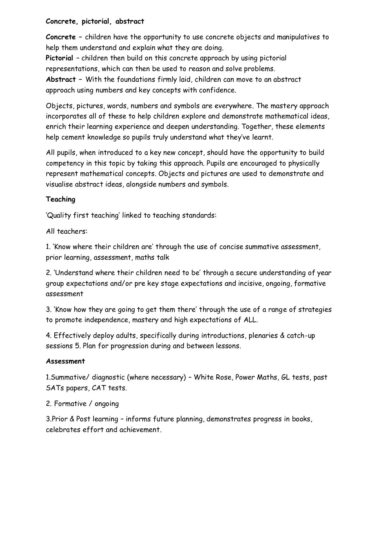### **Concrete, pictorial, abstract**

**Concrete –** children have the opportunity to use concrete objects and manipulatives to help them understand and explain what they are doing.

**Pictorial** – children then build on this concrete approach by using pictorial representations, which can then be used to reason and solve problems. **Abstract –** With the foundations firmly laid, children can move to an abstract approach using numbers and key concepts with confidence.

Objects, pictures, words, numbers and symbols are everywhere. The mastery approach incorporates all of these to help children explore and demonstrate mathematical ideas, enrich their learning experience and deepen understanding. Together, these elements help cement knowledge so pupils truly understand what they've learnt.

All pupils, when introduced to a key new concept, should have the opportunity to build competency in this topic by taking this approach. Pupils are encouraged to physically represent mathematical concepts. Objects and pictures are used to demonstrate and visualise abstract ideas, alongside numbers and symbols.

# **Teaching**

'Quality first teaching' linked to teaching standards:

All teachers:

1. 'Know where their children are' through the use of concise summative assessment, prior learning, assessment, maths talk

2. 'Understand where their children need to be' through a secure understanding of year group expectations and/or pre key stage expectations and incisive, ongoing, formative assessment

3. 'Know how they are going to get them there' through the use of a range of strategies to promote independence, mastery and high expectations of ALL.

4. Effectively deploy adults, specifically during introductions, plenaries & catch-up sessions 5. Plan for progression during and between lessons.

# **Assessment**

1.Summative/ diagnostic (where necessary) – White Rose, Power Maths, GL tests, past SATs papers, CAT tests.

2. Formative / ongoing

3.Prior & Post learning – informs future planning, demonstrates progress in books, celebrates effort and achievement.